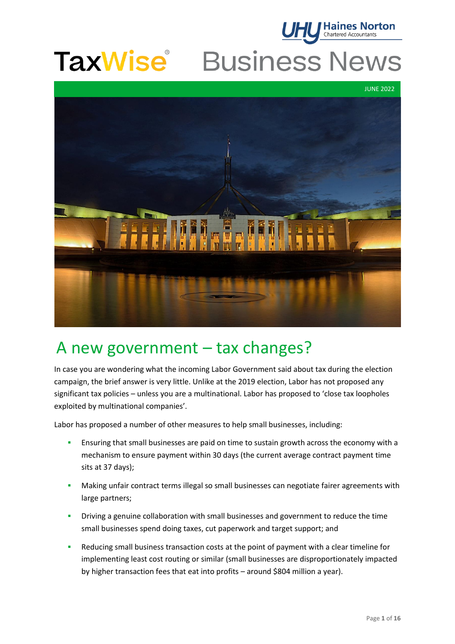

# **TaxWise** Business News

JUNE 2022



# A new government – tax changes?

In case you are wondering what the incoming Labor Government said about tax during the election campaign, the brief answer is very little. Unlike at the 2019 election, Labor has not proposed any significant tax policies – unless you are a multinational. Labor has proposed to 'close tax loopholes exploited by multinational companies'.

Labor has proposed a number of other measures to help small businesses, including:

- **■** Ensuring that small businesses are paid on time to sustain growth across the economy with a mechanism to ensure payment within 30 days (the current average contract payment time sits at 37 days);
- **▪** Making unfair contract terms illegal so small businesses can negotiate fairer agreements with large partners;
- **▪** Driving a genuine collaboration with small businesses and government to reduce the time small businesses spend doing taxes, cut paperwork and target support; and
- Reducing small business transaction costs at the point of payment with a clear timeline for implementing least cost routing or similar (small businesses are disproportionately impacted by higher transaction fees that eat into profits – around \$804 million a year).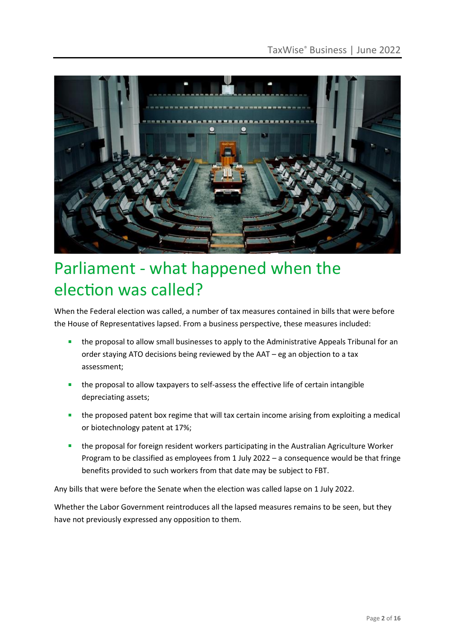

# Parliament - what happened when the election was called?

When the Federal election was called, a number of tax measures contained in bills that were before the House of Representatives lapsed. From a business perspective, these measures included:

- the proposal to allow small businesses to apply to the Administrative Appeals Tribunal for an order staying ATO decisions being reviewed by the AAT – eg an objection to a tax assessment;
- the proposal to allow taxpayers to self-assess the effective life of certain intangible depreciating assets;
- the proposed patent box regime that will tax certain income arising from exploiting a medical or biotechnology patent at 17%;
- the proposal for foreign resident workers participating in the Australian Agriculture Worker Program to be classified as employees from 1 July 2022 – a consequence would be that fringe benefits provided to such workers from that date may be subject to FBT.

Any bills that were before the Senate when the election was called lapse on 1 July 2022.

Whether the Labor Government reintroduces all the lapsed measures remains to be seen, but they have not previously expressed any opposition to them.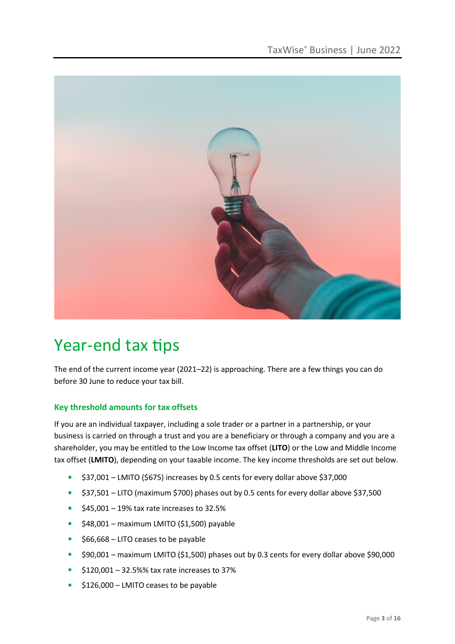

# Year-end tax tips

The end of the current income year (2021–22) is approaching. There are a few things you can do before 30 June to reduce your tax bill.

# **Key threshold amounts for tax offsets**

If you are an individual taxpayer, including a sole trader or a partner in a partnership, or your business is carried on through a trust and you are a beneficiary or through a company and you are a shareholder, you may be entitled to the Low Income tax offset (**LITO**) or the Low and Middle Income tax offset (**LMITO**), depending on your taxable income. The key income thresholds are set out below.

- \$37,001 LMITO (\$675) increases by 0.5 cents for every dollar above \$37,000
- \$37,501 LITO (maximum \$700) phases out by 0.5 cents for every dollar above \$37,500
- $\blacksquare$  \$45,001 19% tax rate increases to 32.5%
- $\blacksquare$  \$48,001 maximum LMITO (\$1,500) payable
- \$66,668 LITO ceases to be payable
- \$90,001 maximum LMITO (\$1,500) phases out by 0.3 cents for every dollar above \$90,000
- $\blacktriangleright$  \$120,001 32.5%% tax rate increases to 37%
- \$126,000 LMITO ceases to be payable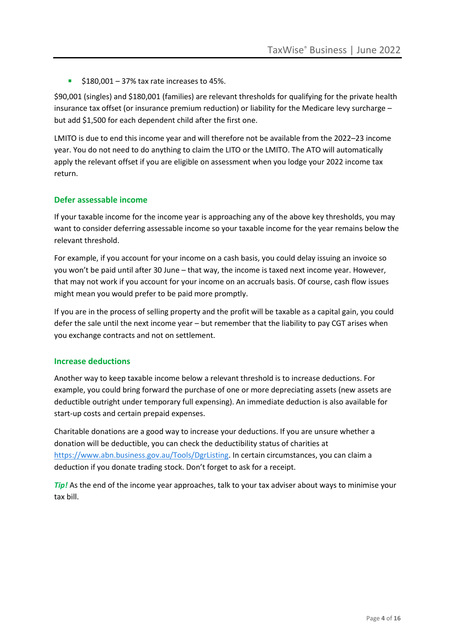$\blacksquare$  \$180,001 – 37% tax rate increases to 45%.

\$90,001 (singles) and \$180,001 (families) are relevant thresholds for qualifying for the private health insurance tax offset (or insurance premium reduction) or liability for the Medicare levy surcharge – but add \$1,500 for each dependent child after the first one.

LMITO is due to end this income year and will therefore not be available from the 2022–23 income year. You do not need to do anything to claim the LITO or the LMITO. The ATO will automatically apply the relevant offset if you are eligible on assessment when you lodge your 2022 income tax return.

#### **Defer assessable income**

If your taxable income for the income year is approaching any of the above key thresholds, you may want to consider deferring assessable income so your taxable income for the year remains below the relevant threshold.

For example, if you account for your income on a cash basis, you could delay issuing an invoice so you won't be paid until after 30 June – that way, the income is taxed next income year. However, that may not work if you account for your income on an accruals basis. Of course, cash flow issues might mean you would prefer to be paid more promptly.

If you are in the process of selling property and the profit will be taxable as a capital gain, you could defer the sale until the next income year – but remember that the liability to pay CGT arises when you exchange contracts and not on settlement.

#### **Increase deductions**

Another way to keep taxable income below a relevant threshold is to increase deductions. For example, you could bring forward the purchase of one or more depreciating assets (new assets are deductible outright under temporary full expensing). An immediate deduction is also available for start-up costs and certain prepaid expenses.

Charitable donations are a good way to increase your deductions. If you are unsure whether a donation will be deductible, you can check the deductibility status of charities at [https://www.abn.business.gov.au/Tools/DgrListing.](https://www.abn.business.gov.au/Tools/DgrListing) In certain circumstances, you can claim a deduction if you donate trading stock. Don't forget to ask for a receipt.

*Tip!* As the end of the income year approaches, talk to your tax adviser about ways to minimise your tax bill.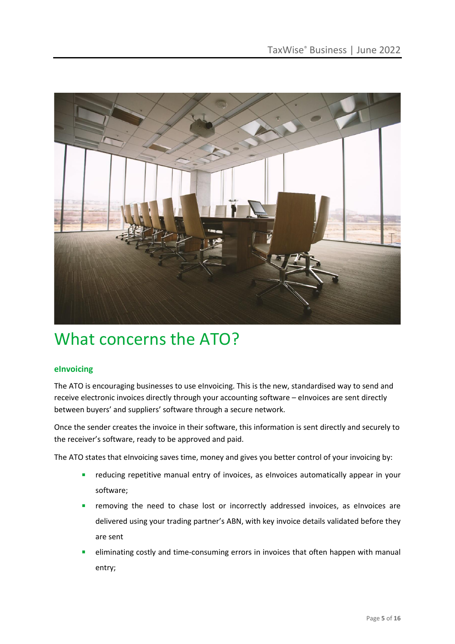

# What concerns the ATO?

# **eInvoicing**

The ATO is encouraging businesses to use eInvoicing. This is the new, standardised way to send and receive electronic invoices directly through your accounting software – eInvoices are sent directly between buyers' and suppliers' software through a secure network.

Once the sender creates the invoice in their software, this information is sent directly and securely to the receiver's software, ready to be approved and paid.

The ATO states that eInvoicing saves time, money and gives you better control of your invoicing by:

- **EXEDENT** reducing repetitive manual entry of invoices, as eInvoices automatically appear in your software;
- **EXP** removing the need to chase lost or incorrectly addressed invoices, as eInvoices are delivered using your trading partner's ABN, with key invoice details validated before they are sent
- eliminating costly and time-consuming errors in invoices that often happen with manual entry;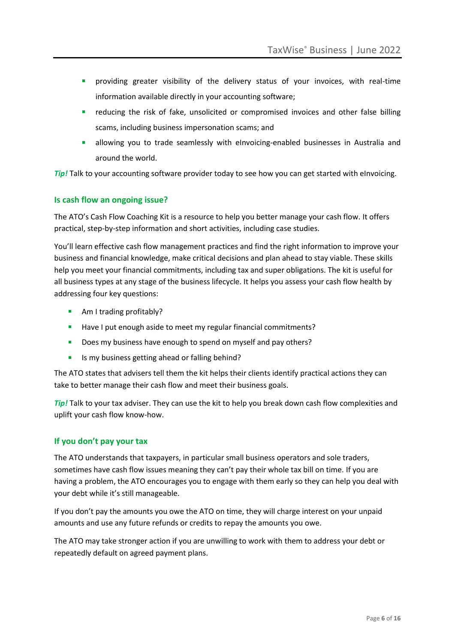- providing greater visibility of the delivery status of your invoices, with real-time information available directly in your accounting software;
- reducing the risk of fake, unsolicited or compromised invoices and other false billing scams, including business impersonation scams; and
- **E** allowing you to trade seamlessly with eInvoicing-enabled businesses in Australia and around the world.

**Tip!** Talk to your accounting software provider today to see how you can get started with eInvoicing.

# **Is cash flow an ongoing issue?**

The ATO's Cash Flow Coaching Kit is a resource to help you better manage your cash flow. It offers practical, step-by-step information and short activities, including case studies.

You'll learn effective cash flow management practices and find the right information to improve your business and financial knowledge, make critical decisions and plan ahead to stay viable. These skills help you meet your financial commitments, including tax and super obligations. The kit is useful for all business types at any stage of the business lifecycle. It helps you assess your cash flow health by addressing four key questions:

- Am I trading profitably?
- Have I put enough aside to meet my regular financial commitments?
- **Does my business have enough to spend on myself and pay others?**
- Is my business getting ahead or falling behind?

The ATO states that advisers tell them the kit helps their clients identify practical actions they can take to better manage their cash flow and meet their business goals.

*Tip!* Talk to your tax adviser. They can use the kit to help you break down cash flow complexities and uplift your cash flow know-how.

#### **If you don't pay your tax**

The ATO understands that taxpayers, in particular small business operators and sole traders, sometimes have cash flow issues meaning they can't pay their whole tax bill on time. If you are having a problem, the ATO encourages you to engage with them early so they can help you deal with your debt while it's still manageable.

If you don't pay the amounts you owe the ATO on time, they will charge interest on your unpaid amounts and use any future refunds or credits to repay the amounts you owe.

The ATO may take stronger action if you are unwilling to work with them to address your debt or repeatedly default on agreed payment plans.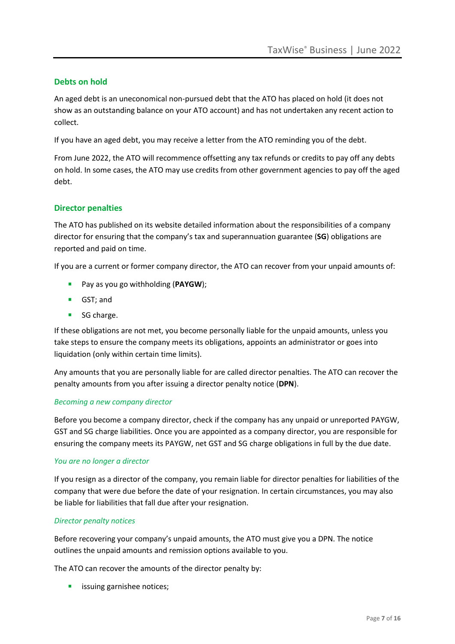# **Debts on hold**

An aged debt is an uneconomical non-pursued debt that the ATO has placed on hold (it does not show as an outstanding balance on your ATO account) and has not undertaken any recent action to collect.

If you have an aged debt, you may receive a letter from the ATO reminding you of the debt.

From June 2022, the ATO will recommence offsetting any tax refunds or credits to pay off any debts on hold. In some cases, the ATO may use credits from other government agencies to pay off the aged debt.

# **Director penalties**

The ATO has published on its website detailed information about the responsibilities of a company director for ensuring that the company's tax and superannuation guarantee (**SG**) obligations are reported and paid on time.

If you are a current or former company director, the ATO can recover from your unpaid amounts of:

- Pay as you go withholding (**PAYGW**);
- GST; and
- SG charge.

If these obligations are not met, you become personally liable for the unpaid amounts, unless you take steps to ensure the company meets its obligations, appoints an administrator or goes into liquidation (only within certain time limits).

Any amounts that you are personally liable for are called director penalties. The ATO can recover the penalty amounts from you after issuing a director penalty notice (**DPN**).

#### *Becoming a new company director*

Before you become a company director, check if the company has any unpaid or unreported PAYGW, GST and SG charge liabilities. Once you are appointed as a company director, you are responsible for ensuring the company meets its PAYGW, net GST and SG charge obligations in full by the due date.

#### *You are no longer a director*

If you resign as a director of the company, you remain liable for director penalties for liabilities of the company that were due before the date of your resignation. In certain circumstances, you may also be liable for liabilities that fall due after your resignation.

# *Director penalty notices*

Before recovering your company's unpaid amounts, the ATO must give you a DPN. The notice outlines the unpaid amounts and remission options available to you.

The ATO can recover the amounts of the director penalty by:

**■** issuing garnishee notices;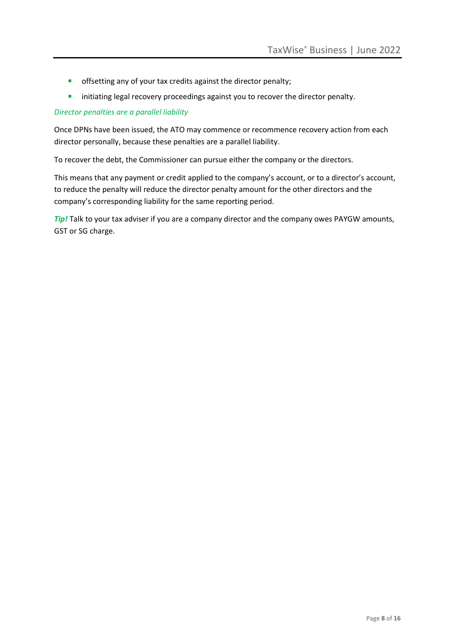- **•** offsetting any of your tax credits against the director penalty;
- **EXECTED FINITY Initiating legal recovery proceedings against you to recover the director penalty.**

### *Director penalties are a parallel liability*

Once DPNs have been issued, the ATO may commence or recommence recovery action from each director personally, because these penalties are a parallel liability.

To recover the debt, the Commissioner can pursue either the company or the directors.

This means that any payment or credit applied to the company's account, or to a director's account, to reduce the penalty will reduce the director penalty amount for the other directors and the company's corresponding liability for the same reporting period.

*Tip!* Talk to your tax adviser if you are a company director and the company owes PAYGW amounts, GST or SG charge.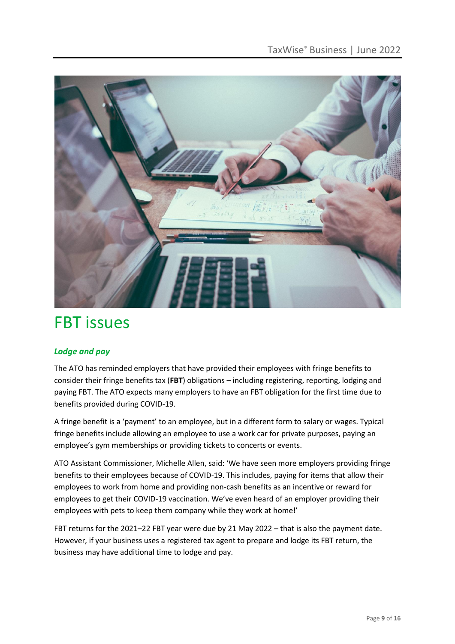

# FBT issues

# *Lodge and pay*

The ATO has reminded employers that have provided their employees with fringe benefits to consider their fringe benefits tax (**FBT**) obligations – including registering, reporting, lodging and paying FBT. The ATO expects many employers to have an FBT obligation for the first time due to benefits provided during COVID-19.

A fringe benefit is a 'payment' to an employee, but in a different form to salary or wages. Typical fringe benefits include allowing an employee to use a work car for private purposes, paying an employee's gym memberships or providing tickets to concerts or events.

ATO Assistant Commissioner, Michelle Allen, said: 'We have seen more employers providing fringe benefits to their employees because of COVID-19. This includes, paying for items that allow their employees to work from home and providing non-cash benefits as an incentive or reward for employees to get their COVID-19 vaccination. We've even heard of an employer providing their employees with pets to keep them company while they work at home!'

FBT returns for the 2021–22 FBT year were due by 21 May 2022 – that is also the payment date. However, if your business uses a registered tax agent to prepare and lodge its FBT return, the business may have additional time to lodge and pay.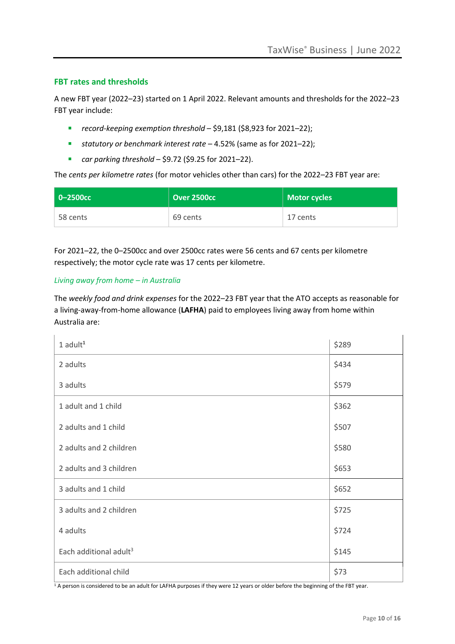# **FBT rates and thresholds**

A new FBT year (2022–23) started on 1 April 2022. Relevant amounts and thresholds for the 2022–23 FBT year include:

- *record-keeping exemption threshold* \$9,181 (\$8,923 for 2021–22);
- *statutory or benchmark interest rate* 4.52% (same as for 2021–22);
- *car parking threshold* \$9.72 (\$9.25 for 2021–22).

The *cents per kilometre rates* (for motor vehicles other than cars) for the 2022–23 FBT year are:

| l 0-2500cc | Over 2500cc | <b>Motor cycles</b> |
|------------|-------------|---------------------|
| 58 cents   | 69 cents    | 17 cents            |

For 2021–22, the 0–2500cc and over 2500cc rates were 56 cents and 67 cents per kilometre respectively; the motor cycle rate was 17 cents per kilometre.

#### *Living away from home – in Australia*

The *weekly food and drink expenses* for the 2022–23 FBT year that the ATO accepts as reasonable for a living-away-from-home allowance (**LAFHA**) paid to employees living away from home within Australia are:

| $1$ adult $1$                      | \$289 |
|------------------------------------|-------|
| 2 adults                           | \$434 |
| 3 adults                           | \$579 |
| 1 adult and 1 child                | \$362 |
| 2 adults and 1 child               | \$507 |
| 2 adults and 2 children            | \$580 |
| 2 adults and 3 children            | \$653 |
| 3 adults and 1 child               | \$652 |
| 3 adults and 2 children            | \$725 |
| 4 adults                           | \$724 |
| Each additional adult <sup>3</sup> | \$145 |
| Each additional child              | \$73  |

 $1$  A person is considered to be an adult for LAFHA purposes if they were 12 years or older before the beginning of the FBT year.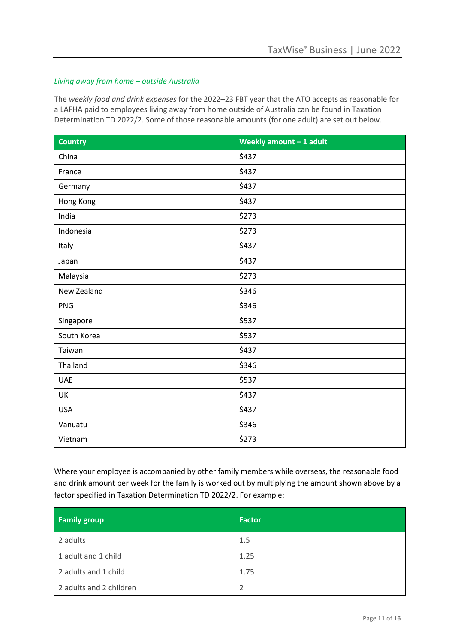### *Living away from home – outside Australia*

The *weekly food and drink expenses* for the 2022–23 FBT year that the ATO accepts as reasonable for a LAFHA paid to employees living away from home outside of Australia can be found in Taxation Determination TD 2022/2. Some of those reasonable amounts (for one adult) are set out below.

| <b>Country</b> | Weekly amount $-1$ adult |
|----------------|--------------------------|
| China          | \$437                    |
| France         | \$437                    |
| Germany        | \$437                    |
| Hong Kong      | \$437                    |
| India          | \$273                    |
| Indonesia      | \$273                    |
| Italy          | \$437                    |
| Japan          | \$437                    |
| Malaysia       | \$273                    |
| New Zealand    | \$346                    |
| <b>PNG</b>     | \$346                    |
| Singapore      | \$537                    |
| South Korea    | \$537                    |
| Taiwan         | \$437                    |
| Thailand       | \$346                    |
| <b>UAE</b>     | \$537                    |
| UK             | \$437                    |
| <b>USA</b>     | \$437                    |
| Vanuatu        | \$346                    |
| Vietnam        | \$273                    |

Where your employee is accompanied by other family members while overseas, the reasonable food and drink amount per week for the family is worked out by multiplying the amount shown above by a factor specified in Taxation Determination TD 2022/2. For example:

| <b>Family group</b>     | <b>Factor</b> |
|-------------------------|---------------|
| 2 adults                | 1.5           |
| 1 adult and 1 child     | 1.25          |
| 2 adults and 1 child    | 1.75          |
| 2 adults and 2 children | 2             |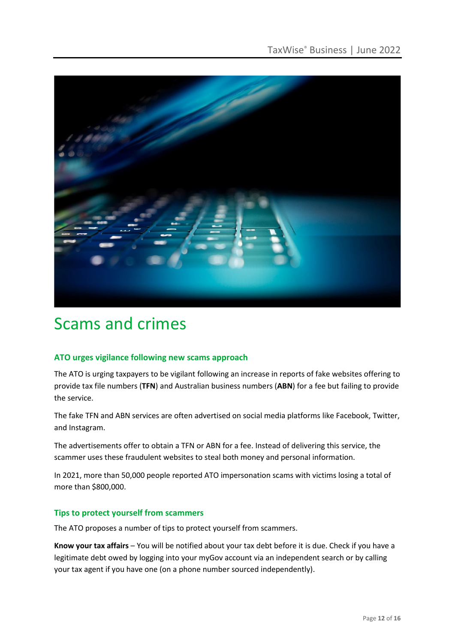

# Scams and crimes

# **ATO urges vigilance following new scams approach**

The ATO is urging taxpayers to be vigilant following an increase in reports of fake websites offering to provide tax file numbers (**TFN**) and Australian business numbers (**ABN**) for a fee but failing to provide the service.

The fake TFN and ABN services are often advertised on social media platforms like Facebook, Twitter, and Instagram.

The advertisements offer to obtain a TFN or ABN for a fee. Instead of delivering this service, the scammer uses these fraudulent websites to steal both money and personal information.

In 2021, more than 50,000 people reported ATO impersonation scams with victims losing a total of more than \$800,000.

# **Tips to protect yourself from scammers**

The ATO proposes a number of tips to protect yourself from scammers.

**Know your tax affairs** – You will be notified about your tax debt before it is due. Check if you have a legitimate debt owed by logging into your myGov account via an independent search or by calling your tax agent if you have one (on a phone number sourced independently).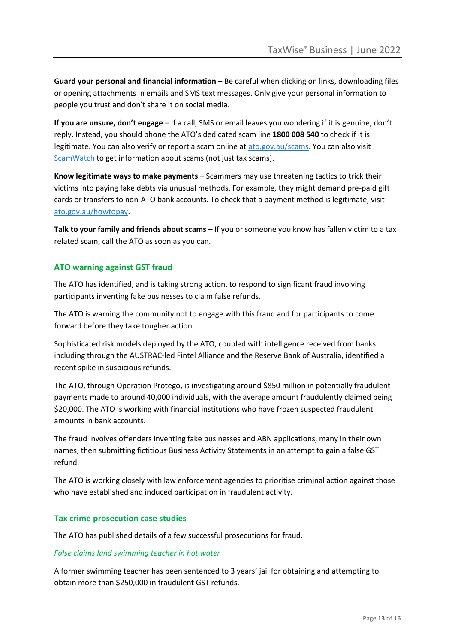**Guard your personal and financial information** – Be careful when clicking on links, downloading files or opening attachments in emails and SMS text messages. Only give your personal information to people you trust and don't share it on social media.

**If you are unsure, don't engage** – If a call, SMS or email leaves you wondering if it is genuine, don't reply. Instead, you should phone the ATO's dedicated scam line **1800 008 540** to check if it is legitimate. You can also verify or report a scam online at [ato.gov.au/scams.](http://www.ato.gov.au/scams) You can also visit [ScamWatch](https://www.scamwatch.gov.au/) to get information about scams (not just tax scams).

**Know legitimate ways to make payments** – Scammers may use threatening tactics to trick their victims into paying fake debts via unusual methods. For example, they might demand pre-paid gift cards or transfers to non-ATO bank accounts. To check that a payment method is legitimate, visit [ato.gov.au/howtopay.](http://www.ato.gov.au/howtopay)

**Talk to your family and friends about scams** – If you or someone you know has fallen victim to a tax related scam, call the ATO as soon as you can.

# **ATO warning against GST fraud**

The ATO has identified, and is taking strong action, to respond to significant fraud involving participants inventing fake businesses to claim false refunds.

The ATO is warning the community not to engage with this fraud and for participants to come forward before they take tougher action.

Sophisticated risk models deployed by the ATO, coupled with intelligence received from banks including through the AUSTRAC-led Fintel Alliance and the Reserve Bank of Australia, identified a recent spike in suspicious refunds.

The ATO, through Operation Protego, is investigating around \$850 million in potentially fraudulent payments made to around 40,000 individuals, with the average amount fraudulently claimed being \$20,000. The ATO is working with financial institutions who have frozen suspected fraudulent amounts in bank accounts.

The fraud involves offenders inventing fake businesses and ABN applications, many in their own names, then submitting fictitious Business Activity Statements in an attempt to gain a false GST refund.

The ATO is working closely with law enforcement agencies to prioritise criminal action against those who have established and induced participation in fraudulent activity.

# **Tax crime prosecution case studies**

The ATO has published details of a few successful prosecutions for fraud.

#### *False claims land swimming teacher in hot water*

A former swimming teacher has been sentenced to 3 years' jail for obtaining and attempting to obtain more than \$250,000 in fraudulent GST refunds.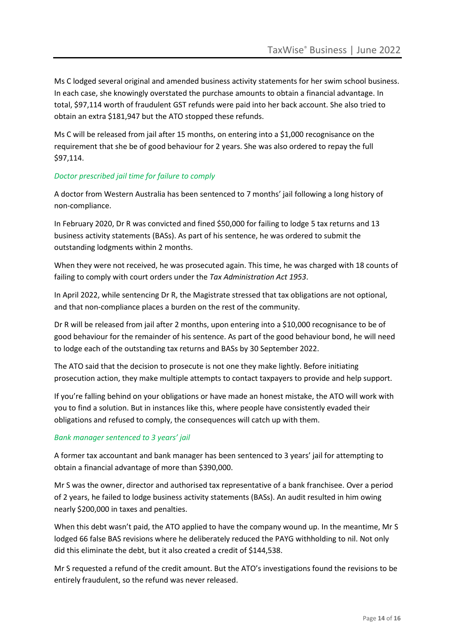Ms C lodged several original and amended business activity statements for her swim school business. In each case, she knowingly overstated the purchase amounts to obtain a financial advantage. In total, \$97,114 worth of fraudulent GST refunds were paid into her back account. She also tried to obtain an extra \$181,947 but the ATO stopped these refunds.

Ms C will be released from jail after 15 months, on entering into a \$1,000 recognisance on the requirement that she be of good behaviour for 2 years. She was also ordered to repay the full \$97,114.

# *Doctor prescribed jail time for failure to comply*

A doctor from Western Australia has been sentenced to 7 months' jail following a long history of non-compliance.

In February 2020, Dr R was convicted and fined \$50,000 for failing to lodge 5 tax returns and 13 business activity statements (BASs). As part of his sentence, he was ordered to submit the outstanding lodgments within 2 months.

When they were not received, he was prosecuted again. This time, he was charged with 18 counts of failing to comply with court orders under the *Tax Administration Act 1953*.

In April 2022, while sentencing Dr R, the Magistrate stressed that tax obligations are not optional, and that non-compliance places a burden on the rest of the community.

Dr R will be released from jail after 2 months, upon entering into a \$10,000 recognisance to be of good behaviour for the remainder of his sentence. As part of the good behaviour bond, he will need to lodge each of the outstanding tax returns and BASs by 30 September 2022.

The ATO said that the decision to prosecute is not one they make lightly. Before initiating prosecution action, they make multiple attempts to contact taxpayers to provide and help support.

If you're falling behind on your obligations or have made an honest mistake, the ATO will work with you to find a solution. But in instances like this, where people have consistently evaded their obligations and refused to comply, the consequences will catch up with them.

# *Bank manager sentenced to 3 years' jail*

A former tax accountant and bank manager has been sentenced to 3 years' jail for attempting to obtain a financial advantage of more than \$390,000.

Mr S was the owner, director and authorised tax representative of a bank franchisee. Over a period of 2 years, he failed to lodge business activity statements (BASs). An audit resulted in him owing nearly \$200,000 in taxes and penalties.

When this debt wasn't paid, the ATO applied to have the company wound up. In the meantime, Mr S lodged 66 false BAS revisions where he deliberately reduced the PAYG withholding to nil. Not only did this eliminate the debt, but it also created a credit of \$144,538.

Mr S requested a refund of the credit amount. But the ATO's investigations found the revisions to be entirely fraudulent, so the refund was never released.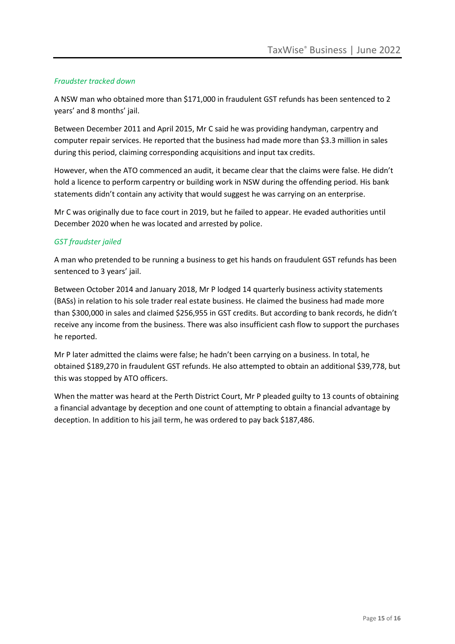### *Fraudster tracked down*

A NSW man who obtained more than \$171,000 in fraudulent GST refunds has been sentenced to 2 years' and 8 months' jail.

Between December 2011 and April 2015, Mr C said he was providing handyman, carpentry and computer repair services. He reported that the business had made more than \$3.3 million in sales during this period, claiming corresponding acquisitions and input tax credits.

However, when the ATO commenced an audit, it became clear that the claims were false. He didn't hold a licence to perform carpentry or building work in NSW during the offending period. His bank statements didn't contain any activity that would suggest he was carrying on an enterprise.

Mr C was originally due to face court in 2019, but he failed to appear. He evaded authorities until December 2020 when he was located and arrested by police.

# *GST fraudster jailed*

A man who pretended to be running a business to get his hands on fraudulent GST refunds has been sentenced to 3 years' jail.

Between October 2014 and January 2018, Mr P lodged 14 quarterly business activity statements (BASs) in relation to his sole trader real estate business. He claimed the business had made more than \$300,000 in sales and claimed \$256,955 in GST credits. But according to bank records, he didn't receive any income from the business. There was also insufficient cash flow to support the purchases he reported.

Mr P later admitted the claims were false; he hadn't been carrying on a business. In total, he obtained \$189,270 in fraudulent GST refunds. He also attempted to obtain an additional \$39,778, but this was stopped by ATO officers.

When the matter was heard at the Perth District Court, Mr P pleaded guilty to 13 counts of obtaining a financial advantage by deception and one count of attempting to obtain a financial advantage by deception. In addition to his jail term, he was ordered to pay back \$187,486.